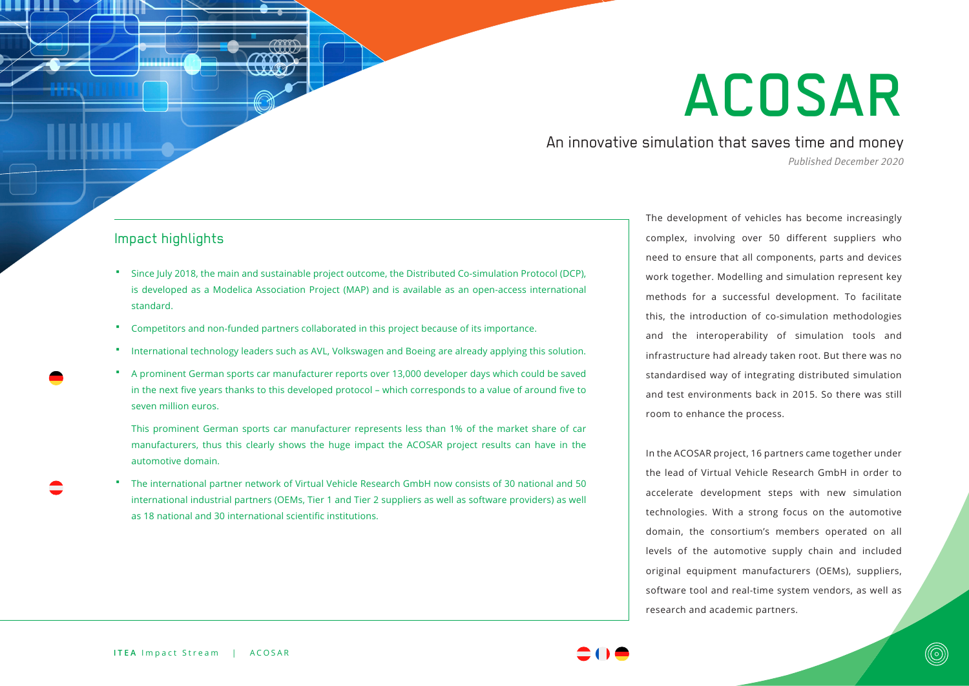# ACOSAR

An innovative simulation that saves time and money *Published December 2020*

## Impact highlights

- Since July 2018, the main and sustainable project outcome, the Distributed Co-simulation Protocol (DCP), is developed as a Modelica Association Project (MAP) and is available as an open-access international standard.
- Competitors and non-funded partners collaborated in this project because of its importance.
- International technology leaders such as AVL, Volkswagen and Boeing are already applying this solution.
- A prominent German sports car manufacturer reports over 13,000 developer days which could be saved in the next five years thanks to this developed protocol – which corresponds to a value of around five to seven million euros.

This prominent German sports car manufacturer represents less than 1% of the market share of car manufacturers, thus this clearly shows the huge impact the ACOSAR project results can have in the automotive domain.

 The international partner network of Virtual Vehicle Research GmbH now consists of 30 national and 50 international industrial partners (OEMs, Tier 1 and Tier 2 suppliers as well as software providers) as well as 18 national and 30 international scientific institutions.

The development of vehicles has become increasingly complex, involving over 50 different suppliers who need to ensure that all components, parts and devices work together. Modelling and simulation represent key methods for a successful development. To facilitate this, the introduction of co-simulation methodologies and the interoperability of simulation tools and infrastructure had already taken root. But there was no standardised way of integrating distributed simulation and test environments back in 2015. So there was still room to enhance the process.

In the ACOSAR project, 16 partners came together under the lead of Virtual Vehicle Research GmbH in order to accelerate development steps with new simulation technologies. With a strong focus on the automotive domain, the consortium's members operated on all levels of the automotive supply chain and included original equipment manufacturers (OEMs), suppliers, software tool and real-time system vendors, as well as research and academic partners.